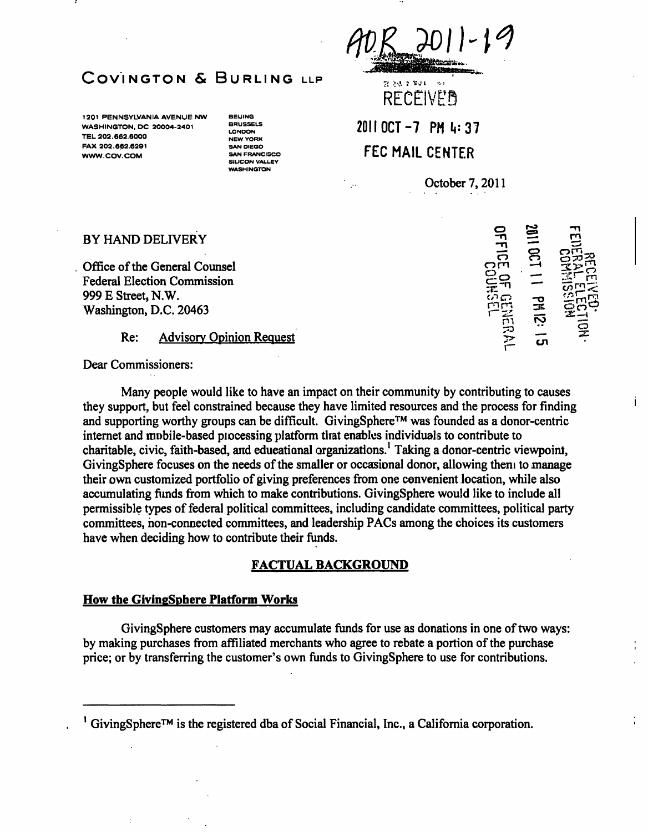计边缘管理机构

RECEIVED<br>2011 OCT -7 PM 4: 37 **FEC MAIL CENTER** 

October 7,2011

o

# COVINGTON & BURLING LLP

1201 PENNSYLVANIA AVENUE NW WASHINGTON, DC 20004-2401 TEL 202.662.6000 FAX 202.662.6291 WWW.COV.COM

**BEIJING BRUSSELS** LONDON **NEW YORK** SAN DIEGO **SAN FRANCISCO** SILICON VALLEY **NASHINGTON** 

### BY HAND DELIVERY

Office of the General Counsel Federal Election Commission 999 E Street, N.W. Washington, D.C. 20463

## Re: Advisory Opinion Request

Dear Commissioners:

Many people would like to have an impact on their community by contributing to causes they support, but feel constrained because they have limited resources and the process for finding and supporting worthy groups can be difficult. GivingSphere<sup>TM</sup> was founded as a donor-centric intemet and mobile-based processing platform that enables individuals to contribute to charitable, civic, faith-based, and educational organizations.' Taking a donor-centric viewpoint, GivingSphere focuses on the needs of the smaller or occasional donor, allowing them to manage their own customized portfolio of giving preferences from one convenient location, while also accumulating funds from which to make contributions. GivingSphere would like to include all permissible types of federal political committees, including candidate committees, political party committees, non-connected committees, and leadership PACs among the choices its customers have when deciding how to contribute their funds.

#### **FACTUAL BACKGROUND**

#### **How the GivingSphere Platform Works**

GivingSphere customers may accumulate funds for use as donations in one of two ways: by making purchases from affiliated merchants who agree to rebate a portion of the purchase price; or by transferring the customer's own funds to GivingSphere to use for contributions.

| DFFICE OF GE       | 1100110<br>---<br>--- |                                                   |
|--------------------|-----------------------|---------------------------------------------------|
| FEISHER<br>PRIMEIR | PH 12: 1<br>_<br>ភ    | <b>RECEIVED:</b><br>FEDERAL ELECTION<br>RECEIVED: |

Ť

 $\frac{1}{2}$  GivingSphere<sup>TM</sup> is the registered dba of Social Financial, Inc., a California corporation.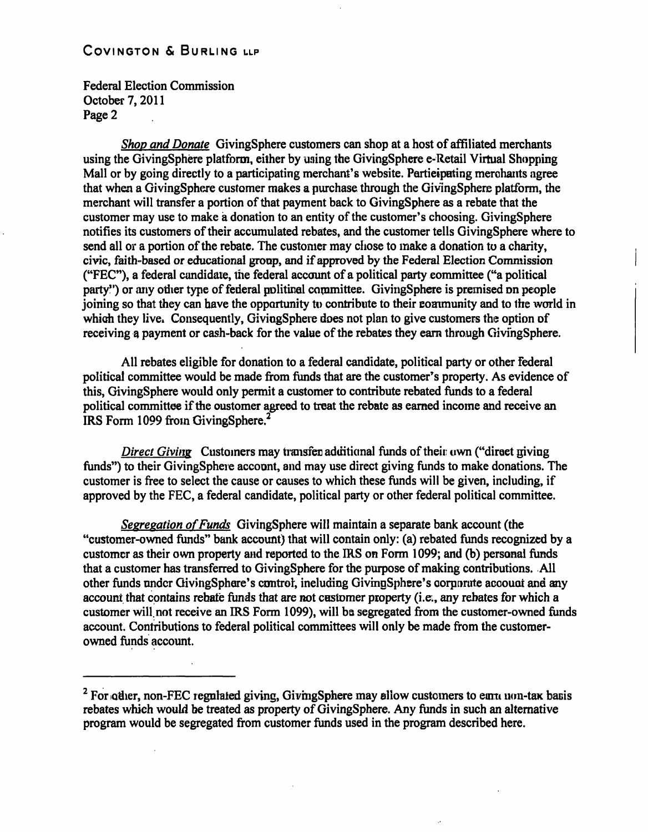**Federal Election Commission October 7,2011 Page 2** 

**Shop and Donate GivingSphere customers can shop at a host of affiliated merchants using the GivingSphere platform, either by using the GivingSphere e-Retail Virtual Shopping Mall or by going directly to a participating merchant's website. Participating merchants agree that when a GivingSphere customer makes a purchase through the GivingSphere platform, the merchant will transfer a portion of that payment back to GivingSphere as a rebate that the customer may use to make a donation to an entity of the customer's choosing. GivingSphere notifies its customers of their accumulated rebates, and the customer tells GivingSphere where to send all or a portion of the rebate. The customer may chose to make a donation to a charity, civic, faith-based or educational group, and if approved by the Federal Election Commission ("FEC"), a federal candidate, the federal account of a political party committee ("a political**  party") or any other type of federal political committee. GivingSphere is premised on people **joining so that they can have the opportunity to contribute to their community and to the world in which they live. Consequently, GivingSphere does not plan to give customers the option of receiving a payment or cash-back for the value of the rebates they eam through GivingSphere.** 

**All rebates eligible for donation to a federal candidate, political party or other federal political committee would be made from funds that are the customer's property. As evidence of this, GivingSphere would only permit a customer to contribute rebated funds to a federal political committee if the customer agreed to treat the rebate as eamed income and receive an IRS Form 1099 from GivingSphere.^** 

**Direct Giving** Customers may transfer additional funds of their own ("direct giving funds") to their GivingSphere account, and may use direct giving funds to make donations. The customer is free to select the cause or causes to which these funds will be given, including, if **approved by the FEC, a federal candidate, political party or other federal political committee.** 

**Sesregation of Funds GivingSphere will maintain a separate bank account (the "customer-owned funds" bank account) that will contain only: (a) rebated funds recognized by a customer as their own property and reported to the IRS on Form 1099; and (b) personal funds that a customer has transferred to GivingSphere for the purpose of making contributions. All other funds under GivingSphere's control, including GivingSphere's corporate account and any account that contains rebate funds that are not customer property (i.e., any rebates for which a customer will, not receive an IRS Form 1099), will be segregated from the customer-owned funds account. Contributions to federal political committees will only be made from the customerowned funds account.** 

<sup>&</sup>lt;sup>2</sup> For other, non-FEC regulated giving, GivingSphere may allow customers to earn non-tax basis **rebates which would be treated as property of GivingSphere. Any funds in such an altemative program would be segregated from customer funds used in the program described here.**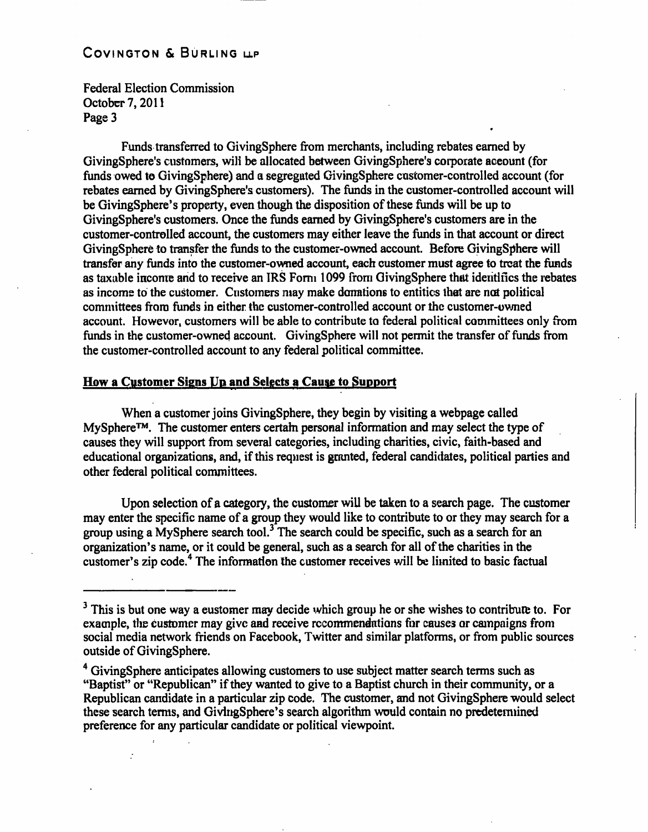Federal Election Commission October 7,2011 Page 3

Funds transferred to GivingSphere from merchants, including rebates earned by GivingSphere's customers, will be allocated between GivingSphere's corporate account (for funds owed to GivingSphere) and a segregated GivingSphere customer-controlled account (for rebates eamed by GivingSphere's customers). The funds in the customer-controlled account will be GivingSphere's property, even though the disposition of these funds will be up to GivingSphere's customers. Once the funds eamed by GivingSphere's customers are in the customer-controlled account, the customers may either leave the funds in that account or direct GivingSphere to transfer the funds to the customer-owned account. Before GivingSphere will transfer any funds into the customer-owned account, each customer must agree to treat the funds as taxable income and to receive an IRS Form 1099 from GivingSphere that identifies the rebates as income to the customer. Customers may make donations to entities that are not political committees from funds in either the customer-controlled account or the customer-owned account. However, customers will be able to contribute to federal political committees only from funds in the customer-owned account. GivingSphere will not permit the transfer of funds from the customer-controlled account to any federal political committee.

#### **How a Customer Signs Up and Selects a Cause to Support**

When a customer joins GivingSphere, they begin by visiting a webpage called MySphere™. The customer enters certain personal information and may select the type of causes they will support from several categories, including charities, civic, faith-based and educational organizations, and, if this request is granted, federal candidates, political parties and other federal political committees.

Upon selection of a category, the customer will be taken to a search page. The customer may enter the specific name of a group they would like to contribute to or they may search for a group using a MySphere search tool.<sup>3</sup> The search could be specific, such as a search for an organization's name, or it could be general, such as a search for all of the charities in the customer's zip code.\* The information the customer receives will be limited to basic factual

<sup>&</sup>lt;sup>3</sup> This is but one way a eustomer may decide which group he or she wishes to contribute to. For example, the customer may give and receive recommendations for causes or campaigns from social media network friends on Facebook, Twitter and similar platforms, or from public sources outside of GivingSphere.

<sup>&</sup>lt;sup>4</sup> GivingSphere anticipates allowing customers to use subject matter search terms such as "Baptist" or "Republican" if they wanted to give to a Baptist church in their community, or a Republican candidate in a particular zip code. The customer, and not GivingSphere would select these search terms, and GivingSphere's search algorithm would contain no predetermined preference for any particular candidate or political viewpoint.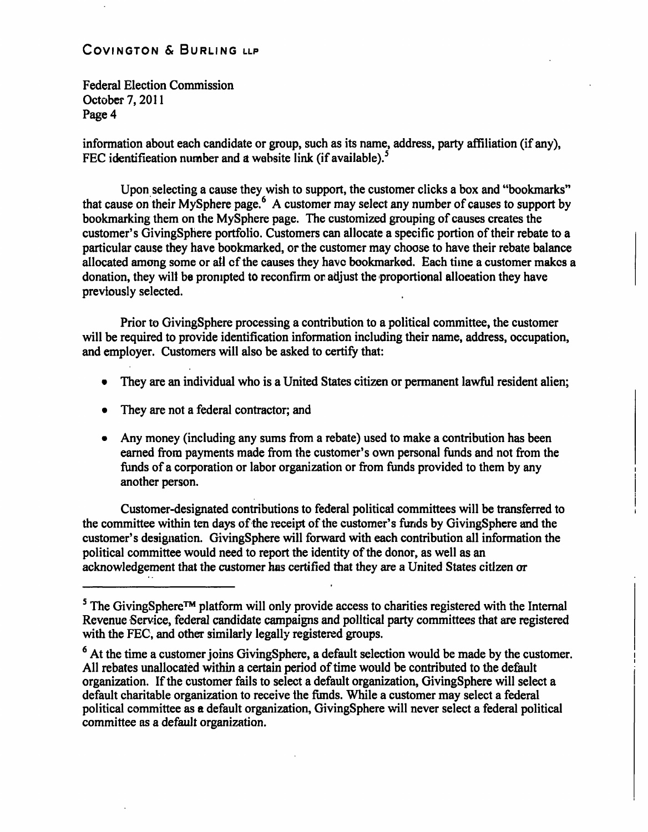**Federal Election Commission October 7,2011 Page 4** 

**information about each candidate or group, such as its name, address, party affiliation (if any),**  FEC identification number and a website link (if available).<sup>5</sup>

**Upon selecting a cause they wish to support, the customer clicks a box and "bookmarks"**  that cause on their MySphere page.<sup>6</sup> A customer may select any number of causes to support by **bookmarking them on the MySphere page. The customized grouping of causes creates the customer's GivingSphere portfolio. Customers can allocate a specific portion of their rebate to a particular cause they have bookmarked, or the customer may choose to have their rebate balance allocated among some or all of the causes they have bookmarked. Each time a customer makes a donation, they will be prompted to reconfirm or adjust the proportional allocation they have previously selected.** 

**Prior to GivingSphere processing a contribution to a political committee, the customer will be required to provide identification information including their name, address, occupation, and employer. Customers will also be asked to certify that:** 

- **They are an individual who is a United States citizen or permanent lawful resident alien;**
- **They are not a federal contractor; and**
- **Any money (including any sums from a rebate) used to make a contribution has been eamed from payments made from the customer's own personal funds and not from the funds of a corporation or labor organization or from funds provided to them by any another person.**

**Customer-designated contributions to federal political committees will be transferred to the committee within ten days of the receipt of the customer's funds by GivingSphere and the customer's designation. GivingSphere will forward with each contribution all information the political committee would need to report the identity of the donor, as well as an acknowledgement that the customer has certified that they are a United States citizen or** 

 $\sigma^{\text{s}}$  The GivingSphere<sup>TM</sup> platform will only provide access to charities registered with the Internal **Revenue Service, federal candidate campaigns and political party committees that are registered with the FEC, and other similarly legally registered groups.** 

<sup>&</sup>lt;sup>6</sup> At the time a customer joins GivingSphere, a default selection would be made by the customer. **All rebates unallocated within a certain period of time would be contributed to the default organization. If the customer fails to select a default organization, GivingSphere will select a default charitable organization to receive the funds. While a customer may select a federal political committee as a default organization, GivingSphere will never select a federal political committee as a default organization.**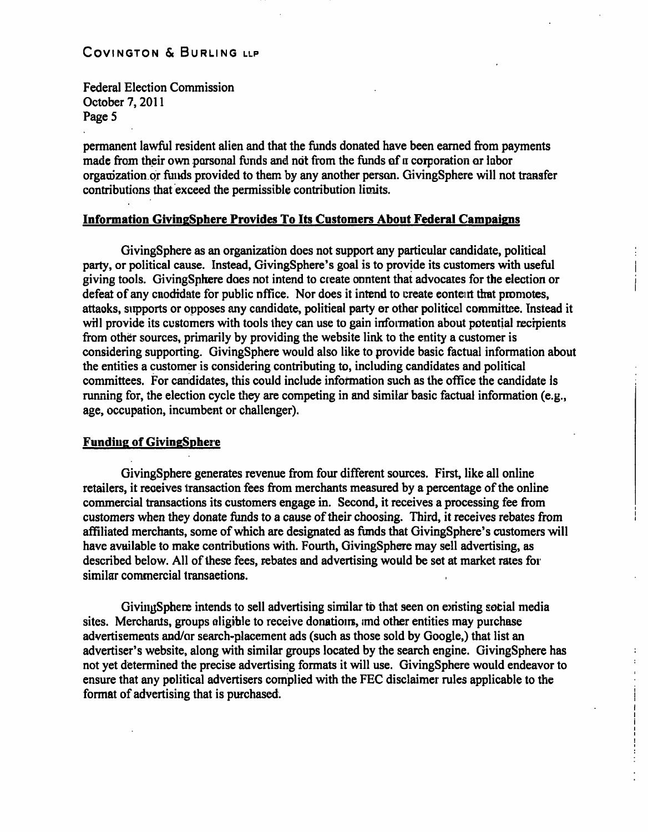Federal Election Commission October 7,2011 Page 5

permanent lawful resident alien and that the funds donated have been eamed from payments made from their own parsonal funds and not from the funds of a corporation or labor organization or funds provided to them by any another person. GivingSphere will not transfer contributions that exceed the permissible contribution limits.

#### **Information GivingSphere Provides To Its Customers About Federal Campaigns**

GivingSphere as an organization does not support any particular candidate, political party, or political cause. Instead, GivingSphere's goal is to provide its customers with useful { giving tools. GivingSphere does not intend to create content that advocates for the election or i defeat of any cnodidate for public office. Nor does it intend to create content that promotes, attacks, supports or opposes any candidate, political party or other political committee. Instead it will provide its customers with tools they can use to gain information about potential recipients from other sources, primarily by providing the website link to the entity a customer is considering supporting. GivingSphere would also like to provide basic factual information about the entities a customer is considering contributing to, including candidates and political committees. For candidates, this could include information such as the office the candidate is running for, the election cycle they are competing in and similar basic factual information (e.g., age, occupation, incumbent or challenger).

#### **Funding of GivingSphere**

GivingSphere generates revenue from four different sources. First, like all online retailers, it receives transaction fees from merchants measured by a percentage of the online commercial transactions its customers engage in. Second, it receives a processing fee from customers when they donate funds to a cause of their choosing. Third, it receives rebates from affiliated merchants, some of which are designated as funds that GivingSphere's customers will have available to make contributions with. Fourth, GivingSphere may sell advertising, as described below. All of these fees, rebates and advertising would be set at market rates for similar commercial transactions.

GivingSphere intends to sell advertising similar to that seen on existing social media sites. Merchants, groups eligible to receive donations, and other entities may purchase advertisements and/or search-placement ads (such as those sold by Google,) that list an advertiser's website, along with similar groups located by the search engine. GivingSphere has not yet determined the precise advertising formats it will use. GivingSphere would endeavor to ensure that any political advertisers complied with the FEC disclaimer mles applicable to the format of advertising that is purchased.

> I I **i**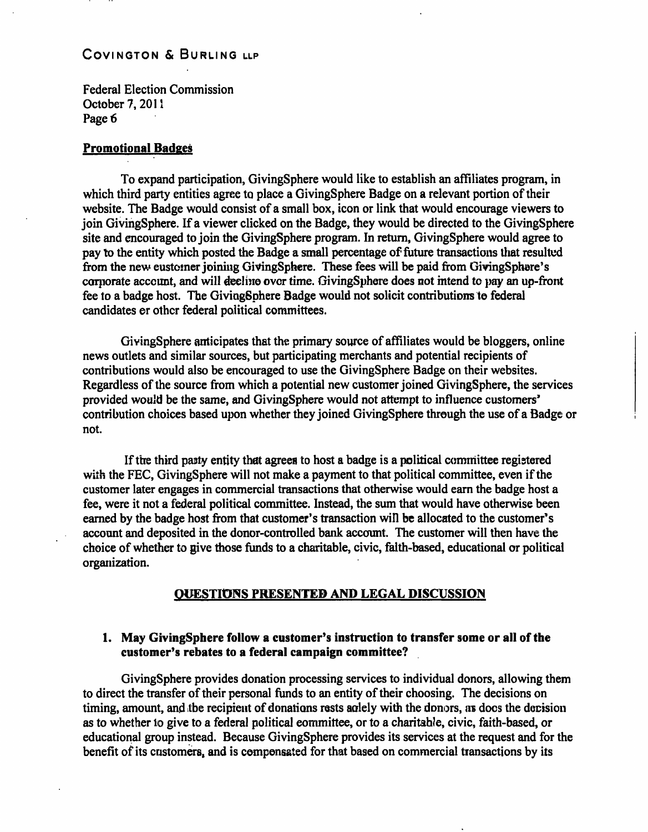Federal Election Commission October 7,2011 Page 6

#### **Promotional Badges**

To expand participation, GivingSphere would like to establish an affiliates program, in which third party entities agree to place a GivingSphere Badge on a relevant portion of their website. The Badge would consist of a small box, icon or link that would encourage viewers to join GivingSphere. If a viewer clicked on the Badge, they would be directed to the GivingSphere site and encouraged to join the GivingSphere program. In retum, GivingSphere would agree to pay to the entity which posted the Badge a small percentage of future transactions that resulted from the new customer joining GivingSphere. These fees will be paid from GivingSphere's corporate account, and will decline over time. GivingSphere does not intend to pay an up-front fee to a badge host. The GivingSphere Badge would not solicit contributions to federal candidates or other federal political committees.

GivingSphere anticipates that the primary source of affiliates would be bloggers, online news outlets and similar sources, but participating merchants and potential recipients of contributions would also be encouraged to use the GivingSphere Badge on their websites. Regardless of the source from which a potential new customer joined GivingSphere, the services provided would be the same, and GivingSphere would not attempt to influence customers' contribution choices based upon whether they joined GivingSphere through the use of a Badge or not.

If the third party entity that agrees to host a badge is a political committee registered with the FEC, GivingSphere will not make a payment to that political committee, even if the customer later engages in commercial transactions that otherwise would earn the badge host a fee, were it not a federal political committee. Instead, the sum that would have otherwise been eamed by the badge host from that customer's transaction will be allocated to the customer's account and deposited in the donor-controlled bank account. The customer will then have the choice of whetfaer to give those funds to a charitable, civic, faith-based, educational or political organization.

#### **QUESTIONS PRESENTED AND LEGAL DISCUSSION**

## **1. May GivingSphere follow a customer's instruction to transfer some or all of the customer's rebates to a federal campaign committee?**

GivingSphere provides donation processing services to individual donors, allowing them to direct the transfer of their personal funds to an entity of their choosing. The decisions on timing, amount, and the recipient of donations rests solely with the donors, as does the decision as to whether to give to a federal political committee, or to a charitable, civic, faith-based, or educational group instead. Because GivingSphere provides its services at the request and for the benefit of its customers, and is compensated for that based on commercial transactions by its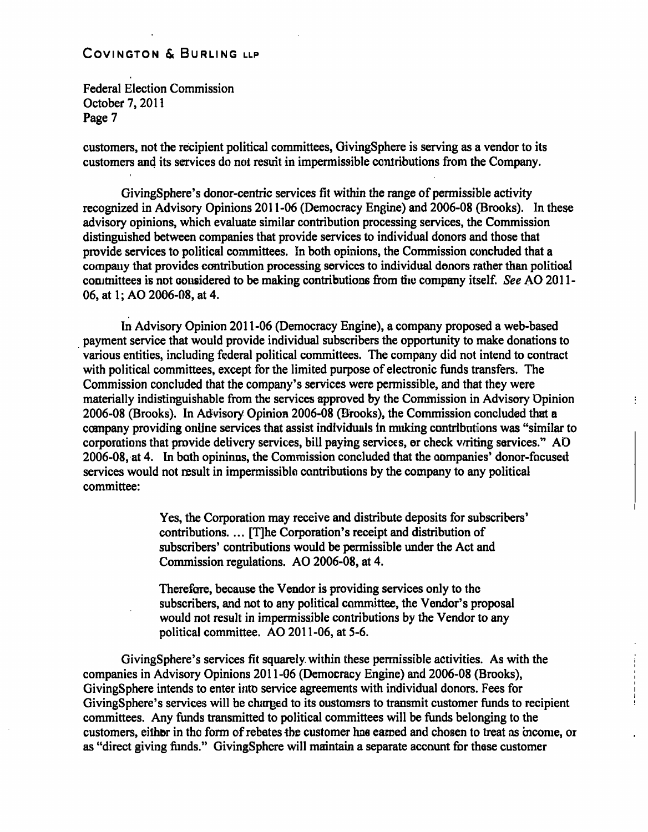**Federal Election Commission October 7,2011 Page 7** 

**customers, not the recipient political committees, GivingSphere is serving as a vendor to its customers and its services do not result in impermissible contributions from the Company.** 

**GivingSphere's donor-centric services fit within the range of permissible activity recognized in Advisory Opinions 2011-06 (Democracy Engine) and 2006-08 (Brooks). In these advisory opinions, which evaluate similar contribution processing services, the Commission distinguished between companies that provide services to individual donors and those that provide services to political committees. In both opinions, the Commission concluded that a company that provides contribution processing services to individual donors rather than political**  committees is not considered to be making contributions from the company itself. See AO 2011-**06, at 1; AO 2006-08, at 4.** 

**In Advisory Opinion 2011-06 (Democracy Engine), a company proposed a web-based payment service that would provide individual subscribers the opportunity to make donations to various entities, including federal political committees. The company did not intend to contract with political committees, except for the limited purpose of electronic funds transfers. The Commission concluded that the company's services were permissible, and that they were materially indistinguishable from the services approved by the Commission in Advisory Opinion 2006-08 (Brooks). In Advisory Opinion 2006-08 (Brooks), the Commission concluded that a company providing online services that assist individuals in making contributions was "similar to corporations that provide delivery services, bill paying services, or check writing services." AO 2006-08, at 4. In both opinions, the Commission concluded that the companies' donor-focused services would not result in impermissible contributions by the company to any political committee:** 

÷

**Yes, the Corporation may receive and distribute deposits for subscribers'**  contributions. ... [T]he Corporation's receipt and distribution of **subscribers' contributions would be permissible under the Act and Commission regulations. AO 2006-08, at 4.** 

**Therefore, because the Vendor is providing services only to the subscribers, and not to any political committee, the Vendor's proposal would not result in impermissible contributions by the Vendor to any political committee. AO 2011-06, at 5-6.** 

**GivingSphere's services fit squarely within these permissible activities. As with the companies in Advisory Opinions 2011-06 (Democracy Engine) and 2006-08 (Brooks), GivingSphere intends to enter into service agreements with individual donors. Fees for GivingSphere's services will be charged to its customers to transmit customer funds to recipient committees. Any funds transmitted to political committees will be funds belonging to the customers, either in the form of rebates the customer has eamed and chosen to treat as income, or as "direct giving funds." GivingSphere will maintain a separate account for these customer**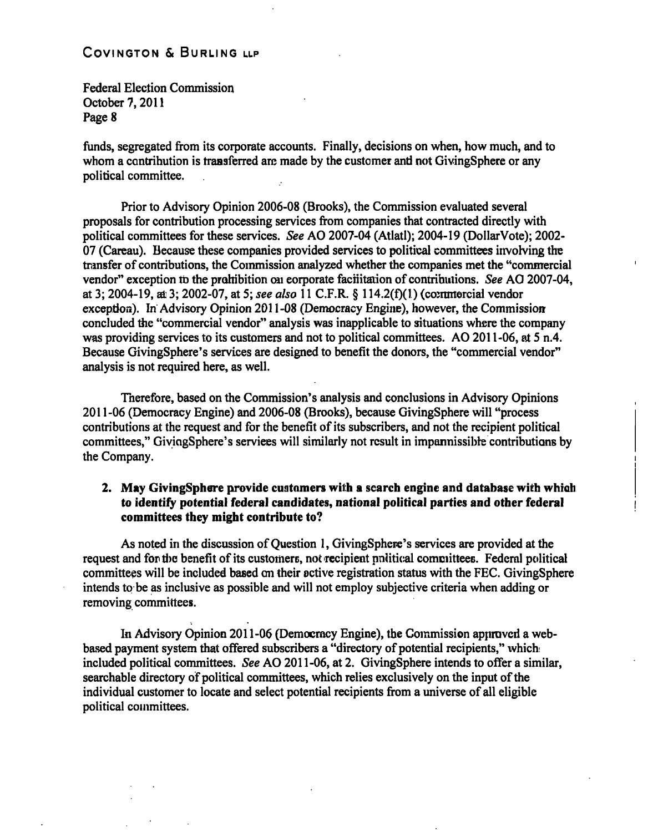Federal Election Commission October 7,2011 Page 8

funds, segregated from its corporate accounts. Finally, decisions on when, how much, and to whom a contribution is transferred are made by the customer and not GivingSphere or any political committee.

Prior to Advisory Opinion 2006-08 (Brooks), the Commission evaluated several proposals for contribution processing services from companies that contracted directly with political committees for these services. See AO 2007-04 (Atlati); 2004-19 (DollarVote); 2002- 07 (Careau). Because these companies provided services to political committees involving the transfer of contributions, the Commission analyzed whether the companies met the "commercial vendor" exception to the prohibition on corporate facilitation of contributions. See AO 2007-04, at 3; 2004-19, at 3; 2002-07, at 5; see also 11 C.F.R. § 114.2(f)(1) (commercial vendor exception). In Advisory Opinion 2011-08 (Democracy Engine), however, the Commission concluded the "commercial vendor" analysis was inapplicable to situations where the company was providing services to its customers and not to political committees. AO 2011-06, at 5 n.4. Because GivingSphere's services are designed to benefit the donors, the "commercial vendor" analysis is not required here, as well.

Therefore, based on the Commission's analysis and conclusions in Advisory Opinions 2011-06 (Democracy Engine) and 2006-08 (Brooks), because GivingSphere will "process contributions at the request and for the benefit of its subscribers, and not the recipient political committees," GivingSphere's services will similarly not result in impermissible contributions by the Company.

## **2. May GivingSphere provide customers with a search engine and database with which**  to identify potential federal candidates, national political parties and other federal **committees they might contribute to?**

As noted in the discussion of Question 1, GivingSphere's services are provided at the request and for the benefit of its customers, not recipient political committees. Federal political committees will be included based on their active registration status with the FEC. GivingSphere intends to be as inclusive as possible and will not employ subjective criteria when adding or removing committees.

In Advisory Opinion 2011-06 (Democracy Engine), the Commission approved a webbased payment system that offered subscribers a "directory of potential recipients," which included political committees. See AO 2011-06, at 2. GivingSphere intends to offer a similar, searchable directory of political committees, which relies exclusively on the input of the individual customer to locate and select potential recipients from a universe of all eligible political committees.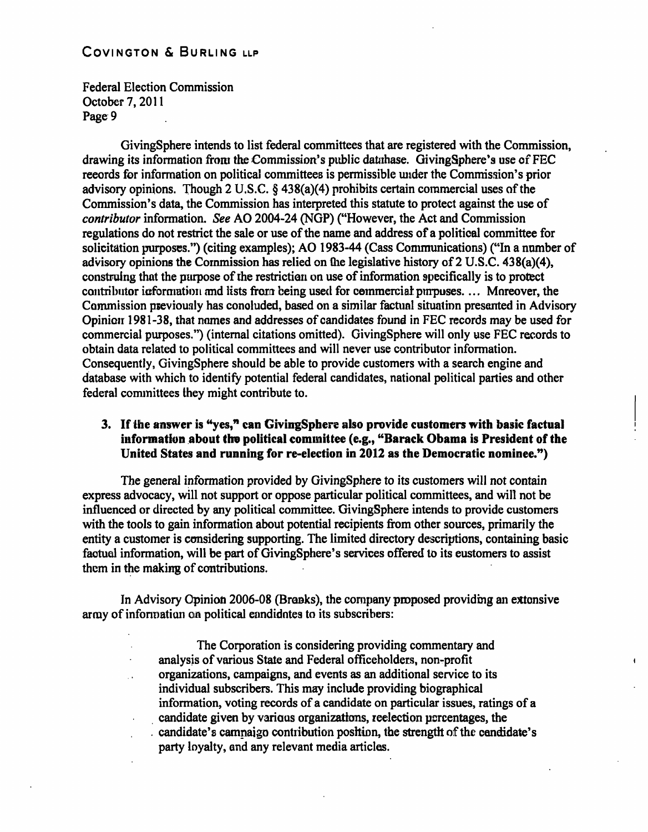Federal Election Commission October 7, 2011 Page 9

GivingSphere intends to list federal committees that are registered with the Commission, drawing its information from the Commission's public database. GivingSphere's use of FEC records for information on political committees is permissible under the Commission's prior advisory opinions. Though 2 U.S.C. § 438(a)(4) prohibits certain commercial uses of the Commission's data, the Commission has interpreted this statute to protect against the use of contributor information. See AO 2004-24 (NGP) ("However, the Act and Commission regulations do not restrict the sale or use of the name and address of a political committee for solicitation purposes.") (citing examples); AO 1983-44 (Cass Communications) ("In a number of advisory opinions the Commission has relied on the legislative history of 2 U.S.C. 438(a)(4), constming that the purpose of the restriction on use of information specifically is to protect contributor information and lists from being used for commercial purpuses.... Moreover, the Commission previously has conoluded, based on a similar factual situation presented in Advisory Opinion 1981-38, that names and addresses of candidates found in FEC records may be used for commercial purposes.") (intemal citations omitted). GivingSphere will only use FEC records to obtain data related to political committees and will never use contributor information. Consequently, GivingSphere should be able to provide customers with a search engine and database with which to identify potential federal candidates, national political parties and other federal committees they might contribute to.

## **3. If the answer is \*'yes," can GivingSphere also provide customers with basic factual information about the political committee (e.g., ''Barack Obama is President of the United States and running for re-election in 2012 as the Democratic nominee.")**

The general information provided by GivingSphere to its customers will not contain express advocacy, will not support or oppose particular political committees, and will not be influenced or directed by any political committee. GivingSphere intends to provide customers with the tools to gain information about potential recipients from other sources, primarily the entity a customer is considering supporting. The limited directory descriptions, containing basic factual information, will be part of GivingSphere's services offered to its customers to assist them in the making of contributions.

In Advisory Opinion 2006-08 (Brooks), the company proposed providing an extensive army of information on political eandidates to its subscribers:

> The Corporation is considering providing commentary and analysis of various State and Federal officeholders, non-profit organizations, campaigns, and events as an additional service to its individual subscribers. This may include providing biographical information, voting records of a candidate on particular issues, ratings of a candidate given by various organizations, reelection percentages, the . candidate's campaign contribution position, the strength of the candidate's party loyalty, and any relevant media articles.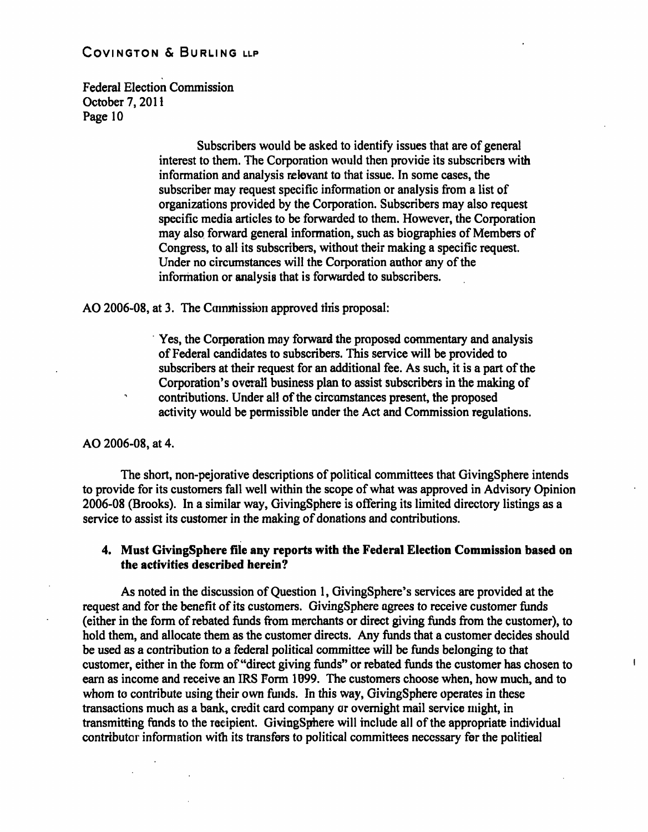Federal Election Commission October 7,2011 Page 10

> Subscribers would be asked to identify issues that are of general interest to them. The Corporation would then provide its subscribers with information and analysis relevant to that issue. In some cases, the subscriber may request specific information or analysis from a list of organizations provided by the Corporation. Subscribers may also request specific media articles to be forwarded to them. However, the Corporation may also forward general information, such as biographies of Members of Congress, to all its subscribers, without their making a specific request. Under no circumstances will the Corporation author any of the information or analysis that is forwarded to subscribers.

AO 2006-08, at 3. The Commission approved this proposal:

Yes, the Corporation may forward the proposed commentary and analysis of Federal candidates to subscribers. This service will be provided to subscribers at their request for an additional fee. As such, it is a part of the Corporation's overall business plan to assist subscribers in the making of contributions. Under all of the circumstances present, the proposed activity would be permissible under the Act and Commission regulations.

AO 2006-08, at 4.

The short, non-pejorative descriptions of political committees that GivingSphere intends to provide for its customers fall well within the scope of what was approved in Advisory Opinion 2006-08 (Brooks). In a similar way, GivingSphere is offering its limited directory listings as a service to assist its customer in the making of donations and contributions.

## **4. Must GivingSphere file any reports with the Federal Election Commission based on the activities described herein?**

As noted in the discussion of Question 1, GivingSphere's services are provided at the request and for the benefit of its customers. GivingSphere agrees to receive customer funds (either in the form of rebated funds from merchants or direct giving funds from the customer), to hold them, and allocate them as the customer directs. Any fimds that a customer decides should be used as a contribution to a federal political committee will be funds belonging to that customer, either in the form of "direct giving funds" or rebated funds the customer has chosen to eam as income and receive an IRS Form 1099. The customers choose when, how much, and to whom to contribute using their own funds. In this way, GivingSphere operates in these transactions much as a bank, credit card company or ovemight mail service might, in transmitting funds to the recipient. GivingSphere will include all of the appropriate individual contributor information with its transfers to political committees necessary for the political

 $\mathbf{I}$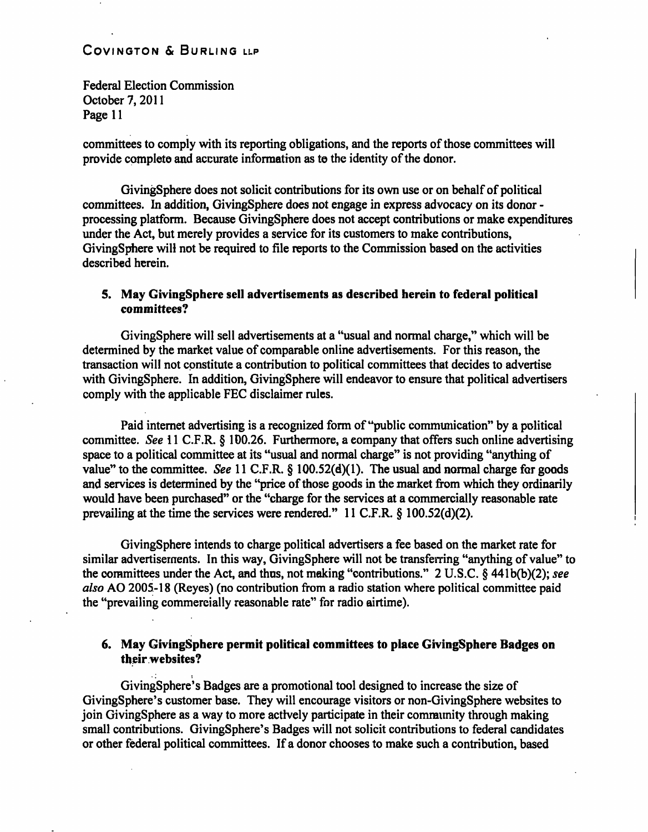Federal Election Commission October 7,2011 Page 11

committees to comply with its reporting obligations, and the reports of those committees will provide complete and accurate information as te the identity of the donor.

GivingSphere does not solicit contributions for its own use or on behalf of political committees. In addition, GivingSphere does not engage in express advocacy on its donor processing platform. Because GivingSphere does not accept contributions or make expenditures under the Act, but merely provides a service for its customers to make contributions, GivingSphere will not be required to file reports to the Commission based on the activities described herein.

#### **5. May GivingSphere sell advertisements as described herein to federal political committees?**

GivingSphere will sell advertisements at a "usual and normal charge," which will be determined by the market value of comparable online advertisements. For this reason, the transaction will not constitute a contribution to political committees that decides to advertise with GivingSphere. In addition, GivingSphere will endeavor to ensure that political advertisers comply with the applicable FEC disclaimer mles.

Paid intemet advertising is a recognized form of "public communication" by a political committee. See 11 C.F.R. § 100.26. Furthermore, a company that offers such online advertising space to a political committee at its "usual and normal charge" is not providing "anything of value" to the committee. See 11 C.F.R. § 100.52(d)(1). The usual and normal charge for goods and services is determined by the "price of those goods in the market from which they ordinarily would have been purchased" or the "charge for the services at a commercially reasonable rate prevailing at the time the services were rendered." 11 C.F.R. § 100.52(d)(2).

GivingSphere intends to charge political advertisers a fee based on the market rate for similar advertisements. In this way, GivingSphere will not be transfening "anything of value" to the committees under the Act, and thus, not making "contributions." 2 U.S.C. § 441b(b)(2); see also AO 2005-18 (Reyes) (no contribution from a radio station where political committee paid the "prevailing commercially reasonable rate" for radio airtime).

#### **6. May GivingSphere permit political committees to place GivingSphere Badges on their websites?**

GivingSphere's Badges are a promotional tool designed to increase the size of GivingSphere's customer base. They will encourage visitors or non-GivingSphere websites to join GivingSphere as a way to more actively participate in their community through making small contributions. GivingSphere's Badges will not solicit contributions to federal candidates or other federal political committees. If a donor chooses to make such a contribution, based